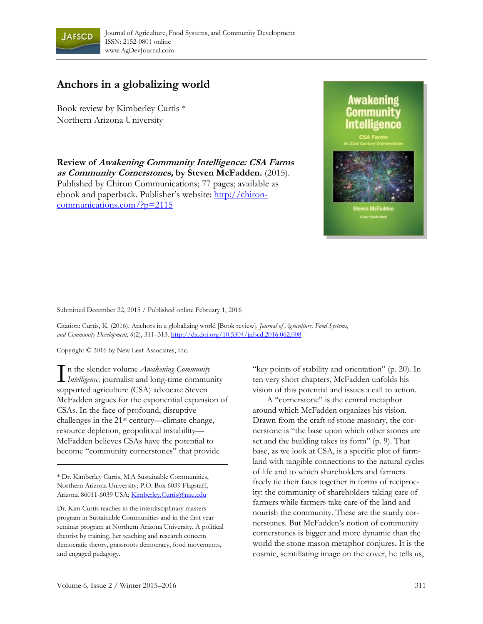

## **Anchors in a globalizing world**

Book review by Kimberley Curtis \* Northern Arizona University

**Review of Awakening Community Intelligence: CSA Farms as Community Cornerstones, by Steven McFadden.** (2015). Published by Chiron Communications; 77 pages; available as ebook and paperback. Publisher's website: http://chironcommunications.com/?p=2115



Submitted December 22, 2015 / Published online February 1, 2016

Citation: Curtis, K. (2016). Anchors in a globalizing world [Book review]. *Journal of Agriculture, Food Systems, and Community Development, 6*(2), 311–313*.* http://dx.doi.org/10.5304/jafscd.2016.062.008

Copyright © 2016 by New Leaf Associates, Inc.

n the slender volume *Awakening Community In the slender volume Awakening Community*<br>*Intelligence,* journalist and long-time community supported agriculture (CSA) advocate Steven McFadden argues for the exponential expansion of CSAs. In the face of profound, disruptive challenges in the 21st century—climate change, resource depletion, geopolitical instability— McFadden believes CSAs have the potential to become "community cornerstones" that provide

\* Dr. Kimberley Curtis, M.A Sustainable Communities, Northern Arizona University; P.O. Box 6039 Flagstaff, Arizona 86011-6039 USA; Kimberley.Curtis@nau.edu

Dr. Kim Curtis teaches in the interdisciplinary masters program in Sustainable Communities and in the first year seminar program at Northern Arizona University. A political theorist by training, her teaching and research concern democratic theory, grassroots democracy, food movements, and engaged pedagogy.

"key points of stability and orientation" (p. 20). In ten very short chapters, McFadden unfolds his vision of this potential and issues a call to action.

 A "cornerstone" is the central metaphor around which McFadden organizes his vision. Drawn from the craft of stone masonry, the cornerstone is "the base upon which other stones are set and the building takes its form" (p. 9). That base, as we look at CSA, is a specific plot of farmland with tangible connections to the natural cycles of life and to which shareholders and farmers freely tie their fates together in forms of reciprocity: the community of shareholders taking care of farmers while farmers take care of the land and nourish the community. These are the sturdy cornerstones. But McFadden's notion of community cornerstones is bigger and more dynamic than the world the stone mason metaphor conjures. It is the cosmic, scintillating image on the cover, he tells us,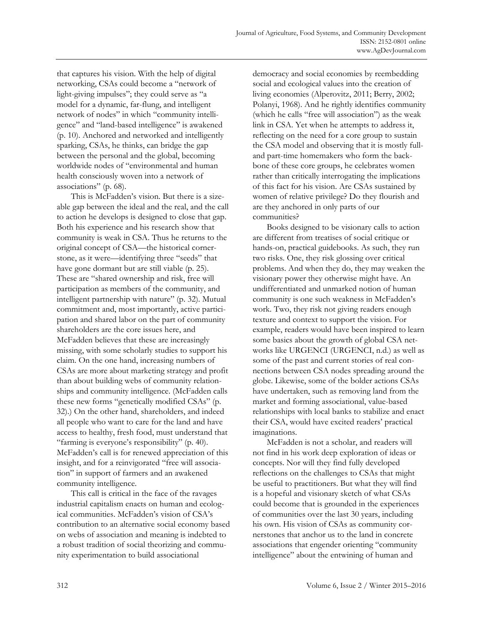that captures his vision. With the help of digital networking, CSAs could become a "network of light-giving impulses"; they could serve as "a model for a dynamic, far-flung, and intelligent network of nodes" in which "community intelligence" and "land-based intelligence" is awakened (p. 10). Anchored and networked and intelligently sparking, CSAs, he thinks, can bridge the gap between the personal and the global, becoming worldwide nodes of "environmental and human health consciously woven into a network of associations" (p. 68).

 This is McFadden's vision. But there is a sizeable gap between the ideal and the real, and the call to action he develops is designed to close that gap. Both his experience and his research show that community is weak in CSA. Thus he returns to the original concept of CSA—the historical cornerstone, as it were—identifying three "seeds" that have gone dormant but are still viable (p. 25). These are "shared ownership and risk, free will participation as members of the community, and intelligent partnership with nature" (p. 32). Mutual commitment and, most importantly, active participation and shared labor on the part of community shareholders are the core issues here, and McFadden believes that these are increasingly missing, with some scholarly studies to support his claim. On the one hand, increasing numbers of CSAs are more about marketing strategy and profit than about building webs of community relationships and community intelligence. (McFadden calls these new forms "genetically modified CSAs" (p. 32).) On the other hand, shareholders, and indeed all people who want to care for the land and have access to healthy, fresh food, must understand that "farming is everyone's responsibility" (p. 40). McFadden's call is for renewed appreciation of this insight, and for a reinvigorated "free will association" in support of farmers and an awakened community intelligence.

 This call is critical in the face of the ravages industrial capitalism enacts on human and ecological communities. McFadden's vision of CSA's contribution to an alternative social economy based on webs of association and meaning is indebted to a robust tradition of social theorizing and community experimentation to build associational

democracy and social economies by reembedding social and ecological values into the creation of living economies (Alperovitz, 2011; Berry, 2002; Polanyi, 1968). And he rightly identifies community (which he calls "free will association") as the weak link in CSA. Yet when he attempts to address it, reflecting on the need for a core group to sustain the CSA model and observing that it is mostly fulland part-time homemakers who form the backbone of these core groups, he celebrates women rather than critically interrogating the implications of this fact for his vision. Are CSAs sustained by women of relative privilege? Do they flourish and are they anchored in only parts of our communities?

 Books designed to be visionary calls to action are different from treatises of social critique or hands-on, practical guidebooks. As such, they run two risks. One, they risk glossing over critical problems. And when they do, they may weaken the visionary power they otherwise might have. An undifferentiated and unmarked notion of human community is one such weakness in McFadden's work. Two, they risk not giving readers enough texture and context to support the vision. For example, readers would have been inspired to learn some basics about the growth of global CSA networks like URGENCI (URGENCI, n.d.) as well as some of the past and current stories of real connections between CSA nodes spreading around the globe. Likewise, some of the bolder actions CSAs have undertaken, such as removing land from the market and forming associational, value-based relationships with local banks to stabilize and enact their CSA, would have excited readers' practical imaginations.

 McFadden is not a scholar, and readers will not find in his work deep exploration of ideas or concepts. Nor will they find fully developed reflections on the challenges to CSAs that might be useful to practitioners. But what they will find is a hopeful and visionary sketch of what CSAs could become that is grounded in the experiences of communities over the last 30 years, including his own. His vision of CSAs as community cornerstones that anchor us to the land in concrete associations that engender orienting "community intelligence" about the entwining of human and